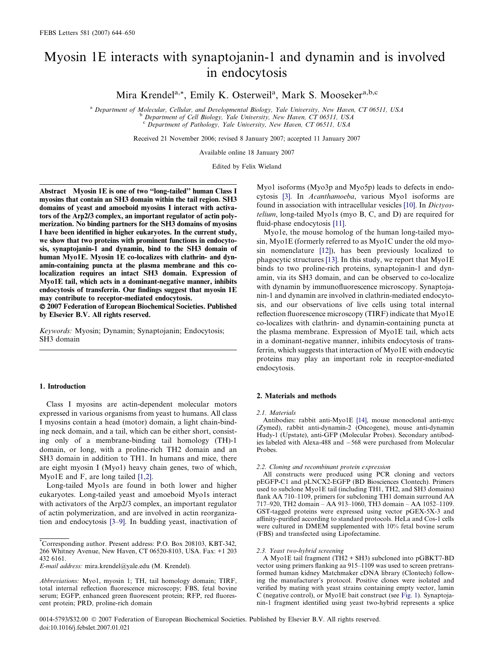# Myosin 1E interacts with synaptojanin-1 and dynamin and is involved in endocytosis

Mira Krendel<sup>a,\*</sup>, Emily K. Osterweil<sup>a</sup>, Mark S. Mooseker<sup>a,b,c</sup>

<sup>a</sup> Department of Molecular, Cellular, and Developmental Biology, Yale University, New Haven, CT 06511, USA b Department of Cell Biology, Yale University, New Haven, CT 06511, USA <sup>c</sup> Department of Pathology, Yale University, New Haven, CT 06511, USA

Received 21 November 2006; revised 8 January 2007; accepted 11 January 2007

Available online 18 January 2007

Edited by Felix Wieland

Abstract Myosin 1E is one of two ''long-tailed'' human Class I myosins that contain an SH3 domain within the tail region. SH3 domains of yeast and amoeboid myosins I interact with activators of the Arp2/3 complex, an important regulator of actin polymerization. No binding partners for the SH3 domains of myosins I have been identified in higher eukaryotes. In the current study, we show that two proteins with prominent functions in endocytosis, synaptojanin-1 and dynamin, bind to the SH3 domain of human Myo1E. Myosin 1E co-localizes with clathrin- and dynamin-containing puncta at the plasma membrane and this colocalization requires an intact SH3 domain. Expression of Myo1E tail, which acts in a dominant-negative manner, inhibits endocytosis of transferrin. Our findings suggest that myosin 1E may contribute to receptor-mediated endocytosis.

- 2007 Federation of European Biochemical Societies. Published by Elsevier B.V. All rights reserved.

Keywords: Myosin; Dynamin; Synaptojanin; Endocytosis; SH3 domain

#### 1. Introduction

Class I myosins are actin-dependent molecular motors expressed in various organisms from yeast to humans. All class I myosins contain a head (motor) domain, a light chain-binding neck domain, and a tail, which can be either short, consisting only of a membrane-binding tail homology (TH)-1 domain, or long, with a proline-rich TH2 domain and an SH3 domain in addition to TH1. In humans and mice, there are eight myosin I (Myo1) heavy chain genes, two of which, Myo1E and F, are long tailed [\[1,2\]](#page-6-0).

Long-tailed Myo1s are found in both lower and higher eukaryotes. Long-tailed yeast and amoeboid Myo1s interact with activators of the Arp2/3 complex, an important regulator of actin polymerization, and are involved in actin reorganization and endocytosis [\[3–9\]](#page-6-0). In budding yeast, inactivation of

Myo1 isoforms (Myo3p and Myo5p) leads to defects in endocytosis [\[3\]](#page-6-0). In Acanthamoeba, various Myo1 isoforms are found in association with intracellular vesicles [\[10\].](#page-6-0) In Dictyostelium, long-tailed Myo1s (myo B, C, and D) are required for fluid-phase endocytosis [\[11\]](#page-6-0).

Myo1e, the mouse homolog of the human long-tailed myosin, Myo1E (formerly referred to as Myo1C under the old myosin nomenclature [\[12\]\)](#page-6-0), has been previously localized to phagocytic structures [\[13\]](#page-6-0). In this study, we report that Myo1E binds to two proline-rich proteins, synaptojanin-1 and dynamin, via its SH3 domain, and can be observed to co-localize with dynamin by immunofluorescence microscopy. Synaptojanin-1 and dynamin are involved in clathrin-mediated endocytosis, and our observations of live cells using total internal reflection fluorescence microscopy (TIRF) indicate that Myo1E co-localizes with clathrin- and dynamin-containing puncta at the plasma membrane. Expression of Myo1E tail, which acts in a dominant-negative manner, inhibits endocytosis of transferrin, which suggests that interaction of Myo1E with endocytic proteins may play an important role in receptor-mediated endocytosis.

## 2. Materials and methods

2.1. Materials

Antibodies: rabbit anti-Myo1E [\[14\],](#page-6-0) mouse monoclonal anti-myc (Zymed), rabbit anti-dynamin-2 (Oncogene), mouse anti-dynamin Hudy-1 (Upstate), anti-GFP (Molecular Probes). Secondary antibodies labeled with Alexa-488 and -568 were purchased from Molecular Probes.

2.2. Cloning and recombinant protein expression

All constructs were produced using PCR cloning and vectors pEGFP-C1 and pLNCX2-EGFP (BD Biosciences Clontech). Primers used to subclone Myo1E tail (including TH1, TH2, and SH3 domains) flank AA 710–1109, primers for subcloning TH1 domain surround AA 717–920, TH2 domain – AA 913–1060, TH3 domain – AA 1052–1109. GST-tagged proteins were expressed using vector pGEX-5X-3 and affinity-purified according to standard protocols. HeLa and Cos-1 cells were cultured in DMEM supplemented with 10% fetal bovine serum (FBS) and transfected using Lipofectamine.

### 2.3. Yeast two-hybrid screening

A Myo1E tail fragment (TH2 + SH3) subcloned into pGBKT7-BD vector using primers flanking aa 915–1109 was used to screen pretransformed human kidney Matchmaker cDNA library (Clontech) following the manufacturer's protocol. Positive clones were isolated and verified by mating with yeast strains containing empty vector, lamin C (negative control), or Myo1E bait construct (see [Fig. 1\)](#page-1-0). Synaptojanin-1 fragment identified using yeast two-hybrid represents a splice

<sup>\*</sup> Corresponding author. Present address: P.O. Box 208103, KBT-342, 266 Whitney Avenue, New Haven, CT 06520-8103, USA. Fax: +1 203 432 6161.

E-mail address: mira.krendel@yale.edu (M. Krendel).

Abbreviations: Myo1, myosin 1; TH, tail homology domain; TIRF, total internal reflection fluorescence microscopy; FBS, fetal bovine serum; EGFP, enhanced green fluorescent protein; RFP, red fluorescent protein; PRD, proline-rich domain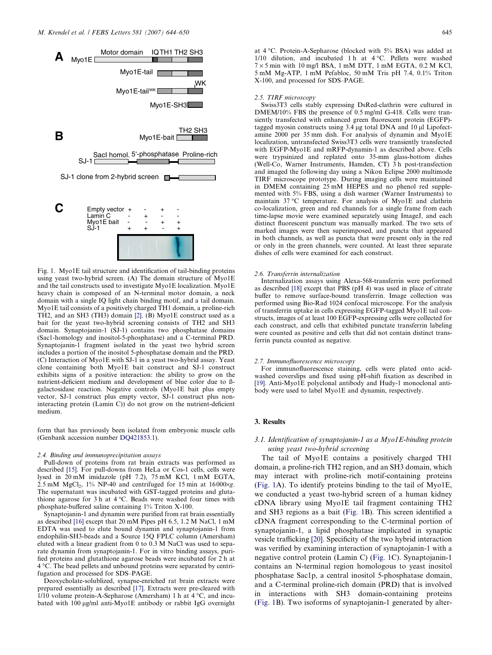<span id="page-1-0"></span>

Fig. 1. Myo1E tail structure and identification of tail-binding proteins using yeast two-hybrid screen. (A) The domain structure of Myo1E and the tail constructs used to investigate Myo1E localization. Myo1E heavy chain is composed of an N-terminal motor domain, a neck domain with a single IQ light chain binding motif, and a tail domain. Myo1E tail consists of a positively charged TH1 domain, a proline-rich TH2, and an SH3 (TH3) domain [\[2\]](#page-6-0). (B) Myo1E construct used as a bait for the yeast two-hybrid screening consists of TH2 and SH3 domain. Synaptojanin-1 (SJ-1) contains two phosphatase domains (Sac1-homology and inositol-5-phosphatase) and a C-terminal PRD. Synaptojanin-1 fragment isolated in the yeast two hybrid screen includes a portion of the inositol 5-phosphatase domain and the PRD. (C) Interaction of Myo1E with SJ-1 in a yeast two-hybrid assay. Yeast clone containing both Myo1E bait construct and SJ-1 construct exhibits signs of a positive interaction: the ability to grow on the nutrient-deficient medium and development of blue color due to ßgalactosidase reaction. Negative controls (Myo1E bait plus empty vector, SJ-1 construct plus empty vector, SJ-1 construct plus noninteracting protein (Lamin C)) do not grow on the nutrient-deficient medium.

form that has previously been isolated from embryonic muscle cells (Genbank accession number DQ421853.1).

#### 2.4. Binding and immunoprecipitation assays

Pull-down of proteins from rat brain extracts was performed as described [\[15\].](#page-6-0) For pull-downs from HeLa or Cos-1 cells, cells were lysed in 20 mM imidazole (pH 7.2), 75 mM KCl, 1 mM EGTA,  $2.5 \text{ mM } MgCl<sub>2</sub>$ , 1% NP-40 and centrifuged for 15 min at 16000 $\times$ g. The supernatant was incubated with GST-tagged proteins and glutathione agarose for 3 h at  $4^{\circ}$ C. Beads were washed four times with phosphate-buffered saline containing 1% Triton X-100.

Synaptojanin-1 and dynamin were purified from rat brain essentially as described [\[16\]](#page-6-0) except that 20 mM Pipes pH 6.5, 1.2 M NaCl, 1 mM EDTA was used to elute bound dynamin and synaptojanin-1 from endophilin-SH3-beads and a Source 15Q FPLC column (Amersham) eluted with a linear gradient from 0 to 0.3 M NaCl was used to separate dynamin from synaptojanin-1. For in vitro binding assays, purified proteins and glutathione agarose beads were incubated for 2 h at 4 C. The bead pellets and unbound proteins were separated by centrifugation and processed for SDS–PAGE.

Deoxycholate-solublized, synapse-enriched rat brain extracts were prepared essentially as described [\[17\].](#page-6-0) Extracts were pre-cleared with  $1/10$  volume protein-A-Sepharose (Amersham) 1 h at  $4^{\circ}$ C, and incubated with 100 µg/ml anti-Myo1E antibody or rabbit IgG overnight at 4 °C. Protein-A-Sepharose (blocked with 5% BSA) was added at 1/10 dilution, and incubated 1 h at  $4^{\circ}$ C. Pellets were washed  $7 \times 5$  min with 10 mg/l BSA, 1 mM DTT, 1 mM EGTA, 0.2 M KCl, 5 mM Mg-ATP, 1 mM Pefabloc, 50 mM Tris pH 7.4, 0.1% Triton X-100, and processed for SDS–PAGE.

#### 2.5. TIRF microscopy

Swiss3T3 cells stably expressing DsRed-clathrin were cultured in DMEM/10% FBS the presence of 0.5 mg/ml G-418. Cells were transiently transfected with enhanced green fluorescent protein (EGFP) tagged myosin constructs using  $3.4 \mu$ g total DNA and  $10 \mu$ l Lipofectamine 2000 per 35 mm dish. For analysis of dynamin and Myo1E localization, untransfected Swiss3T3 cells were transiently transfected with EGFP-Myo1E and mRFP-dynamin-1 as described above. Cells were trypsinized and replated onto 35-mm glass-bottom dishes (Well-Co, Warner Instruments, Hamden, CT) 3 h post-transfection and imaged the following day using a Nikon Eclipse 2000 multimode TIRF microscope prototype. During imaging cells were maintained in DMEM containing 25 mM HEPES and no phenol red supplemented with 5% FBS, using a dish warmer (Warner Instruments) to maintain 37 °C temperature. For analysis of Myo1E and clathrin co-localization, green and red channels for a single frame from each time-lapse movie were examined separately using ImageJ, and each distinct fluorescent punctum was manually marked. The two sets of marked images were then superimposed, and puncta that appeared in both channels, as well as puncta that were present only in the red or only in the green channels, were counted. At least three separate dishes of cells were examined for each construct.

## 2.6. Transferrin internalization

Internalization assays using Alexa-568-transferrin were performed as described [\[18\]](#page-6-0) except that PBS (pH 4) was used in place of citrate buffer to remove surface-bound transferrin. Image collection was performed using Bio-Rad 1024 confocal microscope. For the analysis of transferrin uptake in cells expressing EGFP-tagged Myo1E tail constructs, images of at least 100 EGFP-expressing cells were collected for each construct, and cells that exhibited punctate transferrin labeling were counted as positive and cells that did not contain distinct transferrin puncta counted as negative.

#### 2.7. Immunofluorescence microscopy

For immunofluorescence staining, cells were plated onto acidwashed coverslips and fixed using pH-shift fixation as described in [\[19\].](#page-6-0) Anti-Myo1E polyclonal antibody and Hudy-1 monoclonal antibody were used to label Myo1E and dynamin, respectively.

# 3. Results

# 3.1. Identification of synaptojanin-1 as a Myo1E-binding protein using yeast two-hybrid screening

The tail of Myo1E contains a positively charged TH1 domain, a proline-rich TH2 region, and an SH3 domain, which may interact with proline-rich motif-containing proteins (Fig. 1A). To identify proteins binding to the tail of Myo1E, we conducted a yeast two-hybrid screen of a human kidney cDNA library using Myo1E tail fragment containing TH2 and SH3 regions as a bait (Fig. 1B). This screen identified a cDNA fragment corresponding to the C-terminal portion of synaptojanin-1, a lipid phosphatase implicated in synaptic vesicle trafficking [\[20\].](#page-6-0) Specificity of the two hybrid interaction was verified by examining interaction of synaptojanin-1 with a negative control protein (Lamin C) (Fig. 1C). Synaptojanin-1 contains an N-terminal region homologous to yeast inositol phosphatase Sac1p, a central inositol 5-phosphatase domain, and a C-terminal proline-rich domain (PRD) that is involved in interactions with SH3 domain-containing proteins (Fig. 1B). Two isoforms of synaptojanin-1 generated by alter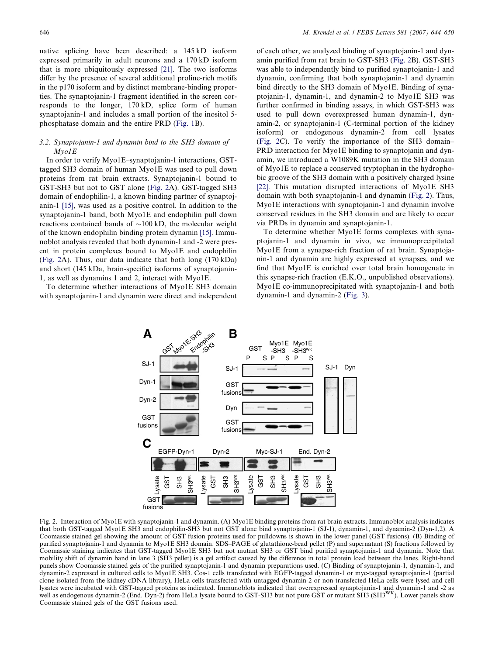native splicing have been described: a 145 kD isoform expressed primarily in adult neurons and a 170 kD isoform that is more ubiquitously expressed [\[21\]](#page-6-0). The two isoforms differ by the presence of several additional proline-rich motifs in the p170 isoform and by distinct membrane-binding properties. The synaptojanin-1 fragment identified in the screen corresponds to the longer, 170 kD, splice form of human synaptojanin-1 and includes a small portion of the inositol 5 phosphatase domain and the entire PRD ([Fig. 1B](#page-1-0)).

## 3.2. Synaptojanin-1 and dynamin bind to the SH3 domain of Myo1E

In order to verify Myo1E–synaptojanin-1 interactions, GSTtagged SH3 domain of human Myo1E was used to pull down proteins from rat brain extracts. Synaptojanin-1 bound to GST-SH3 but not to GST alone (Fig. 2A). GST-tagged SH3 domain of endophilin-1, a known binding partner of synaptojanin-1 [\[15\]](#page-6-0), was used as a positive control. In addition to the synaptojanin-1 band, both Myo1E and endophilin pull down reactions contained bands of  $\sim$ 100 kD, the molecular weight of the known endophilin binding protein dynamin [\[15\].](#page-6-0) Immunoblot analysis revealed that both dynamin-1 and -2 were present in protein complexes bound to Myo1E and endophilin (Fig. 2A). Thus, our data indicate that both long (170 kDa) and short (145 kDa, brain-specific) isoforms of synaptojanin-1, as well as dynamins 1 and 2, interact with Myo1E.

To determine whether interactions of Myo1E SH3 domain with synaptojanin-1 and dynamin were direct and independent of each other, we analyzed binding of synaptojanin-1 and dynamin purified from rat brain to GST-SH3 (Fig. 2B). GST-SH3 was able to independently bind to purified synaptojanin-1 and dynamin, confirming that both synaptojanin-1 and dynamin bind directly to the SH3 domain of Myo1E. Binding of synaptojanin-1, dynamin-1, and dynamin-2 to Myo1E SH3 was further confirmed in binding assays, in which GST-SH3 was used to pull down overexpressed human dynamin-1, dynamin-2, or synaptojanin-1 (C-terminal portion of the kidney isoform) or endogenous dynamin-2 from cell lysates (Fig. 2C). To verify the importance of the SH3 domain– PRD interaction for Myo1E binding to synaptojanin and dynamin, we introduced a W1089K mutation in the SH3 domain of Myo1E to replace a conserved tryptophan in the hydrophobic groove of the SH3 domain with a positively charged lysine [\[22\].](#page-6-0) This mutation disrupted interactions of Myo1E SH3 domain with both synaptojanin-1 and dynamin (Fig. 2). Thus, Myo1E interactions with synaptojanin-1 and dynamin involve conserved residues in the SH3 domain and are likely to occur via PRDs in dynamin and synaptojanin-1.

To determine whether Myo1E forms complexes with synaptojanin-1 and dynamin in vivo, we immunoprecipitated Myo1E from a synapse-rich fraction of rat brain. Synaptojanin-1 and dynamin are highly expressed at synapses, and we find that Myo1E is enriched over total brain homogenate in this synapse-rich fraction (E.K.O., unpublished observations). Myo1E co-immunoprecipitated with synaptojanin-1 and both dynamin-1 and dynamin-2 [\(Fig. 3](#page-3-0)).



Fig. 2. Interaction of Myo1E with synaptojanin-1 and dynamin. (A) Myo1E binding proteins from rat brain extracts. Immunoblot analysis indicates that both GST-tagged Myo1E SH3 and endophilin-SH3 but not GST alone bind synaptojanin-1 (SJ-1), dynamin-1, and dynamin-2 (Dyn-1,2). A Coomassie stained gel showing the amount of GST fusion proteins used for pulldowns is shown in the lower panel (GST fusions). (B) Binding of purified synaptojanin-1 and dynamin to Myo1E SH3 domain. SDS–PAGE of glutathione-bead pellet (P) and supernatant (S) fractions followed by Coomassie staining indicates that GST-tagged Myo1E SH3 but not mutant SH3 or GST bind purified synaptojanin-1 and dynamin. Note that mobility shift of dynamin band in lane 3 (SH3 pellet) is a gel artifact caused by the difference in total protein load between the lanes. Right-hand panels show Coomassie stained gels of the purified synaptojanin-1 and dynamin preparations used. (C) Binding of synaptojanin-1, dynamin-1, and dynamin-2 expressed in cultured cells to Myo1E SH3. Cos-1 cells transfected with EGFP-tagged dynamin-1 or myc-tagged synaptojanin-1 (partial clone isolated from the kidney cDNA library), HeLa cells transfected with untagged dynamin-2 or non-transfected HeLa cells were lysed and cell lysates were incubated with GST-tagged proteins as indicated. Immunoblots indicated that overexpressed synaptojanin-1 and dynamin-1 and -2 as well as endogenous dynamin-2 (End. Dyn-2) from HeLa lysate bound to GST-SH3 but not pure GST or mutant SH3 (SH3<sup>WK</sup>). Lower panels show Coomassie stained gels of the GST fusions used.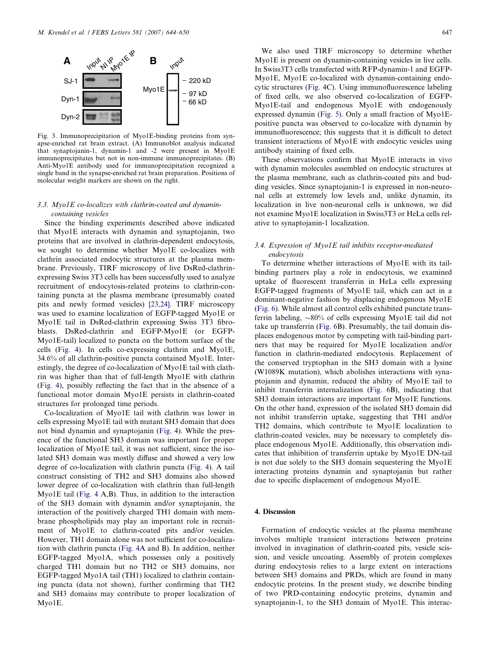<span id="page-3-0"></span>

Fig. 3. Immunoprecipitation of Myo1E-binding proteins from synapse-enriched rat brain extract. (A) Immunoblot analysis indicated that synaptojanin-1, dynamin-1 and -2 were present in Myo1E immunoprecipitates but not in non-immune immunoprecipitates. (B) Anti-Myo1E antibody used for immunoprecipitation recognized a single band in the synapse-enriched rat brain preparation. Positions of molecular weight markers are shown on the right.

# 3.3. Myo1E co-localizes with clathrin-coated and dynamincontaining vesicles

Since the binding experiments described above indicated that Myo1E interacts with dynamin and synaptojanin, two proteins that are involved in clathrin-dependent endocytosis, we sought to determine whether Myo1E co-localizes with clathrin associated endocytic structures at the plasma membrane. Previously, TIRF microscopy of live DsRed-clathrinexpressing Swiss 3T3 cells has been successfully used to analyze recruitment of endocytosis-related proteins to clathrin-containing puncta at the plasma membrane (presumably coated pits and newly formed vesicles) [\[23,24\]](#page-6-0). TIRF microscopy was used to examine localization of EGFP-tagged Myo1E or Myo1E tail in DsRed-clathrin expressing Swiss 3T3 fibroblasts. DsRed-clathrin and EGFP-Myo1E (or EGFP-Myo1E-tail) localized to puncta on the bottom surface of the cells ([Fig. 4](#page-4-0)). In cells co-expressing clathrin and Myo1E, 34.6% of all clathrin-positive puncta contained Myo1E. Interestingly, the degree of co-localization of Myo1E tail with clathrin was higher than that of full-length Myo1E with clathrin [\(Fig. 4\)](#page-4-0), possibly reflecting the fact that in the absence of a functional motor domain Myo1E persists in clathrin-coated structures for prolonged time periods.

Co-localization of Myo1E tail with clathrin was lower in cells expressing Myo1E tail with mutant SH3 domain that does not bind dynamin and synaptojanin ([Fig. 4\)](#page-4-0). While the presence of the functional SH3 domain was important for proper localization of Myo1E tail, it was not sufficient, since the isolated SH3 domain was mostly diffuse and showed a very low degree of co-localization with clathrin puncta ([Fig. 4](#page-4-0)). A tail construct consisting of TH2 and SH3 domains also showed lower degree of co-localization with clathrin than full-length Myo1E tail ([Fig. 4](#page-4-0) A,B). Thus, in addition to the interaction of the SH3 domain with dynamin and/or synaptojanin, the interaction of the positively charged TH1 domain with membrane phospholipids may play an important role in recruitment of Myo1E to clathrin-coated pits and/or vesicles. However, TH1 domain alone was not sufficient for co-localization with clathrin puncta ([Fig. 4](#page-4-0)A and B). In addition, neither EGFP-tagged Myo1A, which possesses only a positively charged TH1 domain but no TH2 or SH3 domains, nor EGFP-tagged Myo1A tail (TH1) localized to clathrin containing puncta (data not shown), further confirming that TH2 and SH3 domains may contribute to proper localization of Myo1E.

We also used TIRF microscopy to determine whether Myo1E is present on dynamin-containing vesicles in live cells. In Swiss3T3 cells transfected with RFP-dynamin-1 and EGFP-Myo1E, Myo1E co-localized with dynamin-containing endocytic structures ([Fig. 4](#page-4-0)C). Using immunofluorescence labeling of fixed cells, we also observed co-localization of EGFP-Myo1E-tail and endogenous Myo1E with endogenously expressed dynamin ([Fig. 5](#page-5-0)). Only a small fraction of Myo1Epositive puncta was observed to co-localize with dynamin by immunofluorescence; this suggests that it is difficult to detect transient interactions of Myo1E with endocytic vesicles using antibody staining of fixed cells.

These observations confirm that Myo1E interacts in vivo with dynamin molecules assembled on endocytic structures at the plasma membrane, such as clathrin-coated pits and budding vesicles. Since synaptojanin-1 is expressed in non-neuronal cells at extremely low levels and, unlike dynamin, its localization in live non-neuronal cells is unknown, we did not examine Myo1E localization in Swiss3T3 or HeLa cells relative to synaptojanin-1 localization.

# 3.4. Expression of Myo1E tail inhibits receptor-mediated endocytosis

To determine whether interactions of Myo1E with its tailbinding partners play a role in endocytosis, we examined uptake of fluorescent transferrin in HeLa cells expressing EGFP-tagged fragments of Myo1E tail, which can act in a dominant-negative fashion by displacing endogenous Myo1E [\(Fig. 6](#page-5-0)). While almost all control cells exhibited punctate transferrin labeling,  $\sim 80\%$  of cells expressing Myo1E tail did not take up transferrin [\(Fig. 6](#page-5-0)B). Presumably, the tail domain displaces endogenous motor by competing with tail-binding partners that may be required for Myo1E localization and/or function in clathrin-mediated endocytosis. Replacement of the conserved tryptophan in the SH3 domain with a lysine (W1089K mutation), which abolishes interactions with synaptojanin and dynamin, reduced the ability of Myo1E tail to inhibit transferrin internalization ([Fig. 6B](#page-5-0)), indicating that SH3 domain interactions are important for Myo1E functions. On the other hand, expression of the isolated SH3 domain did not inhibit transferrin uptake, suggesting that TH1 and/or TH2 domains, which contribute to Myo1E localization to clathrin-coated vesicles, may be necessary to completely displace endogenous Myo1E. Additionally, this observation indicates that inhibition of transferrin uptake by Myo1E DN-tail is not due solely to the SH3 domain sequestering the Myo1E interacting proteins dynamin and synaptojanin but rather due to specific displacement of endogenous Myo1E.

#### 4. Discussion

Formation of endocytic vesicles at the plasma membrane involves multiple transient interactions between proteins involved in invagination of clathrin-coated pits, vesicle scission, and vesicle uncoating. Assembly of protein complexes during endocytosis relies to a large extent on interactions between SH3 domains and PRDs, which are found in many endocytic proteins. In the present study, we describe binding of two PRD-containing endocytic proteins, dynamin and synaptojanin-1, to the SH3 domain of Myo1E. This interac-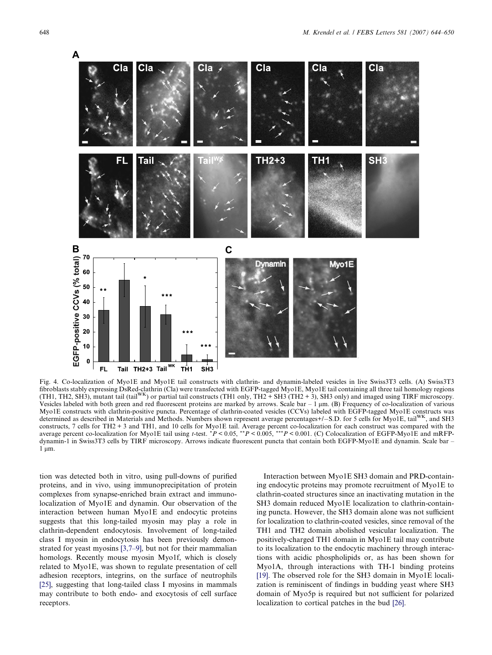<span id="page-4-0"></span>

Fig. 4. Co-localization of Myo1E and Myo1E tail constructs with clathrin- and dynamin-labeled vesicles in live Swiss3T3 cells. (A) Swiss3T3 fibroblasts stably expressing DsRed-clathrin (Cla) were transfected with EGFP-tagged Myo1E, Myo1E tail containing all three tail homology regions<br>(TH1, TH2, SH3), mutant tail (tail<sup>WK</sup>) or partial tail constructs (TH1 only Vesicles labeled with both green and red fluorescent proteins are marked by arrows. Scale bar  $-1 \mu m$ . (B) Frequency of co-localization of various Myo1E constructs with clathrin-positive puncta. Percentage of clathrin-coated vesicles (CCVs) labeled with EGFP-tagged Myo1E constructs was determined as described in Materials and Methods. Numbers shown represent average percentages+/-S.D. for 5 cells for Myo1E, tail<sup>WK</sup>, and SH3 constructs, 7 cells for TH2 + 3 and TH1, and 10 cells for Myo1E tail. Average percent co-localization for each construct was compared with the average percent co-localization for Myo1E tail using t-test. \*P < 0.05, \*\*P < 0.005, \*\*P < 0.001. (C) Colocalization of EGFP-Myo1E and mRFPdynamin-1 in Swiss3T3 cells by TIRF microscopy. Arrows indicate fluorescent puncta that contain both EGFP-Myo1E and dynamin. Scale bar –  $1 \mu m$ .

tion was detected both in vitro, using pull-downs of purified proteins, and in vivo, using immunoprecipitation of protein complexes from synapse-enriched brain extract and immunolocalization of Myo1E and dynamin. Our observation of the interaction between human Myo1E and endocytic proteins suggests that this long-tailed myosin may play a role in clathrin-dependent endocytosis. Involvement of long-tailed class I myosin in endocytosis has been previously demonstrated for yeast myosins [\[3,7–9\]](#page-6-0), but not for their mammalian homologs. Recently mouse myosin Myo1f, which is closely related to Myo1E, was shown to regulate presentation of cell adhesion receptors, integrins, on the surface of neutrophils [\[25\],](#page-6-0) suggesting that long-tailed class I myosins in mammals may contribute to both endo- and exocytosis of cell surface receptors.

Interaction between Myo1E SH3 domain and PRD-containing endocytic proteins may promote recruitment of Myo1E to clathrin-coated structures since an inactivating mutation in the SH3 domain reduced Myo1E localization to clathrin-containing puncta. However, the SH3 domain alone was not sufficient for localization to clathrin-coated vesicles, since removal of the TH1 and TH2 domain abolished vesicular localization. The positively-charged TH1 domain in Myo1E tail may contribute to its localization to the endocytic machinery through interactions with acidic phospholipids or, as has been shown for Myo1A, through interactions with TH-1 binding proteins [\[19\].](#page-6-0) The observed role for the SH3 domain in Myo1E localization is reminiscent of findings in budding yeast where SH3 domain of Myo5p is required but not sufficient for polarized localization to cortical patches in the bud [\[26\]](#page-6-0).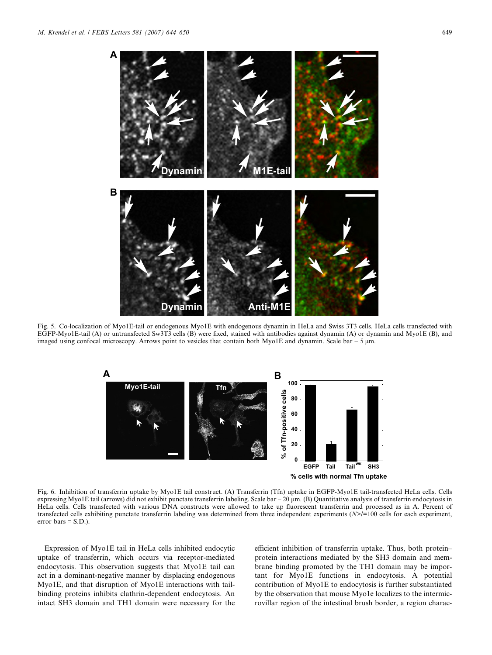<span id="page-5-0"></span>

Fig. 5. Co-localization of Myo1E-tail or endogenous Myo1E with endogenous dynamin in HeLa and Swiss 3T3 cells. HeLa cells transfected with EGFP-Myo1E-tail (A) or untransfected Sw3T3 cells (B) were fixed, stained with antibodies against dynamin (A) or dynamin and Myo1E (B), and imaged using confocal microscopy. Arrows point to vesicles that contain both Myo1E and dynamin. Scale bar  $-5 \mu m$ .



Fig. 6. Inhibition of transferrin uptake by Myo1E tail construct. (A) Transferrin (Tfn) uptake in EGFP-Myo1E tail-transfected HeLa cells. Cells expressing Myo1E tail (arrows) did not exhibit punctate transferrin labeling. Scale bar – 20 μm. (B) Quantitative analysis of transferrin endocytosis in HeLa cells. Cells transfected with various DNA constructs were allowed to take up fluorescent transferrin and processed as in A. Percent of transfected cells exhibiting punctate transferrin labeling was determined from three independent experiments (N>/=100 cells for each experiment, error bars = S.D.).

Expression of Myo1E tail in HeLa cells inhibited endocytic uptake of transferrin, which occurs via receptor-mediated endocytosis. This observation suggests that Myo1E tail can act in a dominant-negative manner by displacing endogenous Myo1E, and that disruption of Myo1E interactions with tailbinding proteins inhibits clathrin-dependent endocytosis. An intact SH3 domain and TH1 domain were necessary for the efficient inhibition of transferrin uptake. Thus, both protein– protein interactions mediated by the SH3 domain and membrane binding promoted by the TH1 domain may be important for Myo1E functions in endocytosis. A potential contribution of Myo1E to endocytosis is further substantiated by the observation that mouse Myo1e localizes to the intermicrovillar region of the intestinal brush border, a region charac